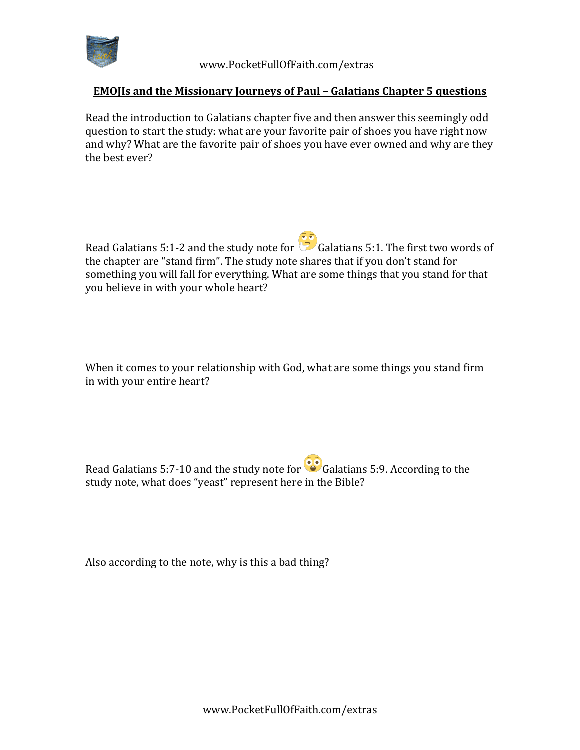

 www.PocketFullOfFaith.com/extras

## **EMOJIs and the Missionary Journeys of Paul - Galatians Chapter 5 questions**

Read the introduction to Galatians chapter five and then answer this seemingly odd question to start the study: what are your favorite pair of shoes you have right now and why? What are the favorite pair of shoes you have ever owned and why are they the best ever?

Read Galatians 5:1-2 and the study note for  $\ddot{\ddot{\theta}}$  Galatians 5:1. The first two words of the chapter are "stand firm". The study note shares that if you don't stand for something you will fall for everything. What are some things that you stand for that you believe in with your whole heart?

When it comes to your relationship with God, what are some things you stand firm in with your entire heart?

Read Galatians 5:7-10 and the study note for  $\bullet$  Galatians 5:9. According to the study note, what does "yeast" represent here in the Bible?

Also according to the note, why is this a bad thing?